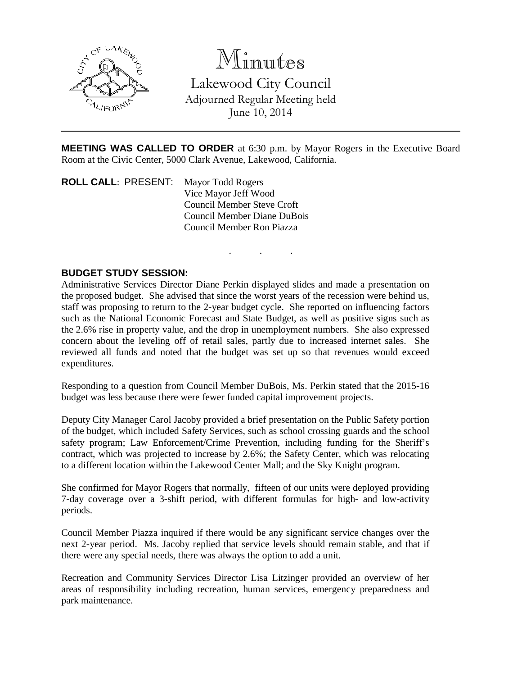

## Minutes

Lakewood City Council Adjourned Regular Meeting held June 10, 2014

**MEETING WAS CALLED TO ORDER** at 6:30 p.m. by Mayor Rogers in the Executive Board Room at the Civic Center, 5000 Clark Avenue, Lakewood, California.

. . .

**ROLL CALL**: PRESENT: Mayor Todd Rogers Vice Mayor Jeff Wood Council Member Steve Croft Council Member Diane DuBois Council Member Ron Piazza

## **BUDGET STUDY SESSION:**

Administrative Services Director Diane Perkin displayed slides and made a presentation on the proposed budget. She advised that since the worst years of the recession were behind us, staff was proposing to return to the 2-year budget cycle. She reported on influencing factors such as the National Economic Forecast and State Budget, as well as positive signs such as the 2.6% rise in property value, and the drop in unemployment numbers. She also expressed concern about the leveling off of retail sales, partly due to increased internet sales. She reviewed all funds and noted that the budget was set up so that revenues would exceed expenditures.

Responding to a question from Council Member DuBois, Ms. Perkin stated that the 2015-16 budget was less because there were fewer funded capital improvement projects.

Deputy City Manager Carol Jacoby provided a brief presentation on the Public Safety portion of the budget, which included Safety Services, such as school crossing guards and the school safety program; Law Enforcement/Crime Prevention, including funding for the Sheriff's contract, which was projected to increase by 2.6%; the Safety Center, which was relocating to a different location within the Lakewood Center Mall; and the Sky Knight program.

She confirmed for Mayor Rogers that normally, fifteen of our units were deployed providing 7-day coverage over a 3-shift period, with different formulas for high- and low-activity periods.

Council Member Piazza inquired if there would be any significant service changes over the next 2-year period. Ms. Jacoby replied that service levels should remain stable, and that if there were any special needs, there was always the option to add a unit.

Recreation and Community Services Director Lisa Litzinger provided an overview of her areas of responsibility including recreation, human services, emergency preparedness and park maintenance.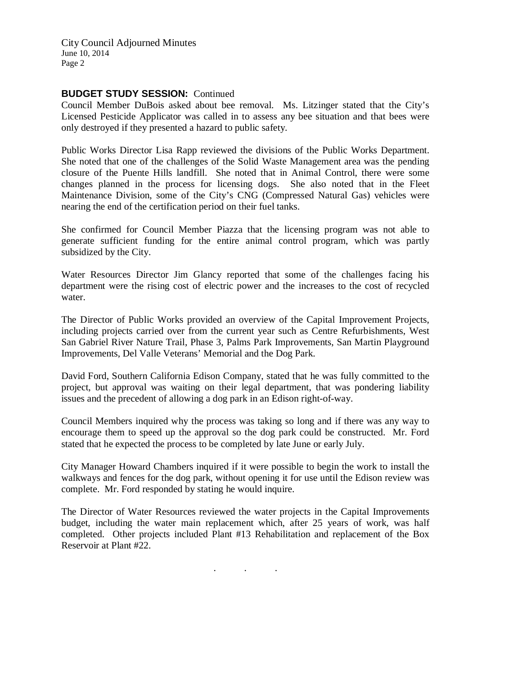City Council Adjourned Minutes June 10, 2014 Page 2

## **BUDGET STUDY SESSION:** Continued

Council Member DuBois asked about bee removal. Ms. Litzinger stated that the City's Licensed Pesticide Applicator was called in to assess any bee situation and that bees were only destroyed if they presented a hazard to public safety.

Public Works Director Lisa Rapp reviewed the divisions of the Public Works Department. She noted that one of the challenges of the Solid Waste Management area was the pending closure of the Puente Hills landfill. She noted that in Animal Control, there were some changes planned in the process for licensing dogs. She also noted that in the Fleet Maintenance Division, some of the City's CNG (Compressed Natural Gas) vehicles were nearing the end of the certification period on their fuel tanks.

She confirmed for Council Member Piazza that the licensing program was not able to generate sufficient funding for the entire animal control program, which was partly subsidized by the City.

Water Resources Director Jim Glancy reported that some of the challenges facing his department were the rising cost of electric power and the increases to the cost of recycled water.

The Director of Public Works provided an overview of the Capital Improvement Projects, including projects carried over from the current year such as Centre Refurbishments, West San Gabriel River Nature Trail, Phase 3, Palms Park Improvements, San Martin Playground Improvements, Del Valle Veterans' Memorial and the Dog Park.

David Ford, Southern California Edison Company, stated that he was fully committed to the project, but approval was waiting on their legal department, that was pondering liability issues and the precedent of allowing a dog park in an Edison right-of-way.

Council Members inquired why the process was taking so long and if there was any way to encourage them to speed up the approval so the dog park could be constructed. Mr. Ford stated that he expected the process to be completed by late June or early July.

City Manager Howard Chambers inquired if it were possible to begin the work to install the walkways and fences for the dog park, without opening it for use until the Edison review was complete. Mr. Ford responded by stating he would inquire.

The Director of Water Resources reviewed the water projects in the Capital Improvements budget, including the water main replacement which, after 25 years of work, was half completed. Other projects included Plant #13 Rehabilitation and replacement of the Box Reservoir at Plant #22.

. . .